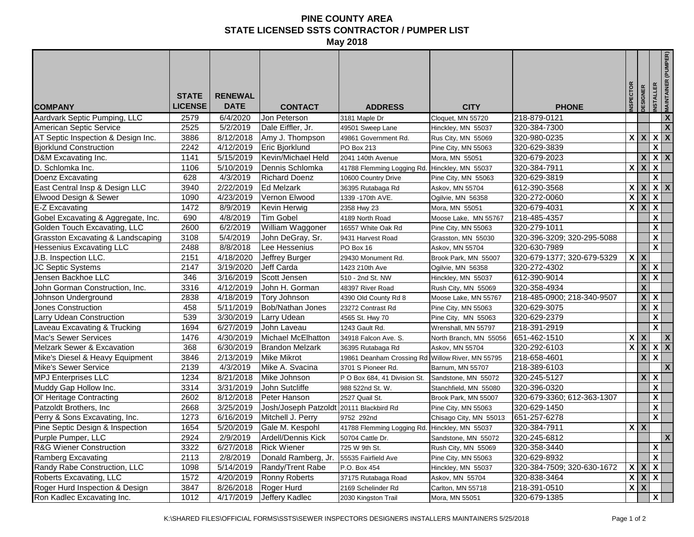# **PINE COUNTY AREA STATE LICENSED SSTS CONTRACTOR / PUMPER LIST May 2018**

| <b>COMPANY</b>                        | <b>STATE</b><br><b>LICENSE</b> | <b>RENEWAL</b><br><b>DATE</b> | <b>CONTACT</b>                          | <b>ADDRESS</b>                                   | <b>CITY</b>            | <b>PHONE</b>               | မ္ဘ                     | <b>DESIGNER</b>         | <b>NSTALLER</b>                                             | IMPER)<br><b>MAINTAINER</b> |
|---------------------------------------|--------------------------------|-------------------------------|-----------------------------------------|--------------------------------------------------|------------------------|----------------------------|-------------------------|-------------------------|-------------------------------------------------------------|-----------------------------|
| Aardvark Septic Pumping, LLC          | 2579                           | 6/4/2020                      | Jon Peterson                            | 3181 Maple Dr                                    | Cloquet, MN 55720      | 218-879-0121               |                         |                         |                                                             | $\overline{\mathbf{x}}$     |
| American Septic Service               | 2525                           | 5/2/2019                      | Dale Eiffler, Jr.                       | 49501 Sweep Lane                                 | Hinckley, MN 55037     | 320-384-7300               |                         |                         |                                                             | $\boldsymbol{\mathsf{X}}$   |
| AT Septic Inspection & Design Inc.    | 3886                           | 8/12/2018                     | Amy J. Thompson                         | 49861 Government Rd.                             | Rus City, MN 55069     | 320-980-0235               |                         | $X$ $X$                 | $X$ $X$                                                     |                             |
| <b>Bjorklund Construction</b>         | 2242                           | 4/12/2019                     | Eric Bjorklund                          | PO Box 213                                       | Pine City, MN 55063    | 320-629-3839               |                         |                         | $\overline{\mathbf{x}}$                                     |                             |
| D&M Excavating Inc.                   | 1141                           | 5/15/2019                     | Kevin/Michael Held                      | 2041 140th Avenue                                | Mora, MN 55051         | 320-679-2023               |                         |                         | $X$ $X$ $X$                                                 |                             |
| D. Schlomka Inc.                      | 1106                           | 5/10/2019                     | Dennis Schlomka                         | 41788 Flemming Logging Rd.                       | Hinckley, MN 55037     | 320-384-7911               |                         | X X X                   |                                                             |                             |
| Doenz Excavating                      | 628                            | 4/3/2019                      | <b>Richard Doenz</b>                    | 10600 Country Drive                              | Pine City, MN 55063    | 320-629-3819               |                         |                         | $\overline{\mathbf{x}}$                                     |                             |
| East Central Insp & Design LLC        | 3940                           | 2/22/2019                     | <b>Ed Melzark</b>                       | 36395 Rutabaga Rd                                | Askov, MN 55704        | 612-390-3568               |                         |                         | $x \mid x \mid x \mid x$                                    |                             |
| Elwood Design & Sewer                 | 1090                           | 4/23/2019                     | Vernon Elwood                           | 1339 - 170th AVE.                                | Ogilvie, MN 56358      | 320-272-0060               | $\overline{\mathbf{X}}$ | X X                     |                                                             |                             |
| E-Z Excavating                        | 1472                           | 8/9/2019                      | Kevin Herwig                            | 2358 Hwy 23                                      | Mora, MN 55051         | 320-679-4031               |                         | $X$ $X$ $X$             |                                                             |                             |
| Gobel Excavating & Aggregate, Inc.    | 690                            | 4/8/2019                      | <b>Tim Gobel</b>                        | 4189 North Road                                  | Moose Lake, MN 55767   | 218-485-4357               |                         |                         | $\pmb{\mathsf{X}}$                                          |                             |
| Golden Touch Excavating, LLC          | 2600                           | 6/2/2019                      | William Waggoner                        | 16557 White Oak Rd                               | Pine City, MN 55063    | 320-279-1011               |                         |                         | $\overline{\mathbf{x}}$                                     |                             |
| Grasston Excavating & Landscaping     | 3108                           | 5/4/2019                      | John DeGray, Sr.                        | 9431 Harvest Road                                | Grasston, MN 55030     | 320-396-3209; 320-295-5088 |                         |                         | $\overline{\mathbf{x}}$                                     |                             |
| <b>Hessenius Excavating LLC</b>       | 2488                           | 8/8/2018                      | Lee Hessenius                           | PO Box 16                                        | Askov, MN 55704        | 320-630-7989               |                         |                         | $\overline{\mathbf{x}}$                                     |                             |
| J.B. Inspection LLC.                  | 2151                           | 4/18/2020                     | Jeffrey Burger                          | 29430 Monument Rd.                               | Brook Park, MN 55007   | 320-679-1377; 320-679-5329 |                         | $X$ $X$                 |                                                             |                             |
| JC Septic Systems                     | 2147                           | 3/19/2020                     | Jeff Carda                              | 1423 210th Ave                                   | Ogilvie, MN 56358      | 320-272-4302               |                         |                         | $\overline{x}$ $\overline{x}$                               |                             |
| Jensen Backhoe LLC                    | 346                            | 3/16/2019                     | Scott Jensen                            | 510 - 2nd St. NW                                 | Hinckley, MN 55037     | 612-390-9014               |                         |                         | $X$ $X$                                                     |                             |
| John Gorman Construction, Inc.        | 3316                           | 4/12/2019                     | John H. Gorman                          | 48397 River Road                                 | Rush City, MN 55069    | 320-358-4934               |                         | $\overline{\mathbf{x}}$ |                                                             |                             |
| Johnson Underground                   | 2838                           | 4/18/2019                     | Tory Johnson                            | 4390 Old County Rd 8                             | Moose Lake, MN 55767   | 218-485-0900; 218-340-9507 |                         |                         | $\mathbf{X} \mid \mathbf{X}$                                |                             |
| <b>Jones Construction</b>             | 458                            | 5/11/2019                     | Bob/Nathan Jones                        | 23272 Contrast Rd                                | Pine City, MN 55063    | 320-629-3075               |                         |                         | $X$ $X$                                                     |                             |
| Larry Udean Construction              | 539                            | 3/30/2019                     | Larry Udean                             | 4565 St. Hwy 70                                  | Pine City, MN 55063    | 320-629-2379               |                         |                         | $\overline{\mathbf{X}}$                                     |                             |
| Laveau Excavating & Trucking          | 1694                           | 6/27/2019                     | John Laveau                             | 1243 Gault Rd.                                   | Wrenshall, MN 55797    | 218-391-2919               |                         |                         | $\overline{\mathbf{x}}$                                     |                             |
| <b>Mac's Sewer Services</b>           | 1476                           | 4/30/2019                     | Michael McElhatton                      | 34918 Falcon Ave. S.                             | North Branch, MN 55056 | 651-462-1510               |                         | $X$ $X$                 |                                                             | $\overline{\mathbf{x}}$     |
| <b>Melzark Sewer &amp; Excavation</b> | 368                            | 6/30/2019                     | IBrandon Melzark                        | 36395 Rutabaga Rd                                | Askov, MN 55704        | 320-292-6103               |                         |                         | $\overline{X}$ $\overline{X}$ $\overline{X}$ $\overline{X}$ |                             |
| Mike's Diesel & Heavy Equipment       | 3846                           | 2/13/2019                     | <b>Mike Mikrot</b>                      | 19861 Deanham Crossing Rd Willow River, MN 55795 |                        | 218-658-4601               |                         |                         | $\overline{x}$ $\overline{x}$                               |                             |
| Mike's Sewer Service                  | 2139                           | 4/3/2019                      | Mike A. Svacina                         | 3701 S Pioneer Rd.                               | Barnum, MN 55707       | 218-389-6103               |                         |                         |                                                             | $\boldsymbol{\mathsf{X}}$   |
| <b>MPJ Enterprises LLC</b>            | 1234                           | 8/21/2018                     | Mike Johnson                            | P O Box 684, 41 Division St.                     | Sandstone, MN 55072    | 320-245-5127               |                         |                         | $\mathbf{X} \mid \mathbf{X}$                                |                             |
| Muddy Gap Hollow Inc.                 | 3314                           | 3/31/2019                     | John Sutcliffe                          | 988 522nd St. W.                                 | Stanchfield, MN 55080  | 320-396-0320               |                         |                         | $\overline{\mathbf{x}}$                                     |                             |
| Ol' Heritage Contracting              | 2602                           | 8/12/2018                     | Peter Hanson                            | 2527 Quail St.                                   | Brook Park, MN 55007   | 320-679-3360; 612-363-1307 |                         |                         | $\boldsymbol{\mathsf{X}}$                                   |                             |
| Patzoldt Brothers, Inc.               | 2668                           | 3/25/2019                     | Josh/Joseph Patzoldt 20111 Blackbird Rd |                                                  | Pine City, MN 55063    | 320-629-1450               |                         |                         | $\overline{\mathbf{x}}$                                     |                             |
| Perry & Sons Excavating, Inc.         | 1273                           | 6/16/2019                     | Mitchell J. Perry                       | 9752 292nd                                       | Chisago City, MN 55013 | 651-257-6278               |                         |                         | $\overline{\mathbf{x}}$                                     |                             |
| Pine Septic Design & Inspection       | 1654                           | 5/20/2019                     | Gale M. Kespohl                         | 41788 Flemming Logging Rd.                       | Hinckley, MN 55037     | 320-384-7911               |                         | $X \mid X$              |                                                             |                             |
| Purple Pumper, LLC                    | 2924                           | 2/9/2019                      | Ardell/Dennis Kick                      | 50704 Cattle Dr.                                 | Sandstone, MN 55072    | 320-245-6812               |                         |                         |                                                             | $\boldsymbol{\mathsf{X}}$   |
| <b>R&amp;G Wiener Construction</b>    | 3322                           | 6/27/2018                     | Rick Wiener                             | 725 W 9th St.                                    | Rush City, MN 55069    | 320-358-3440               |                         |                         | $\boldsymbol{\mathsf{X}}$                                   |                             |
| Ramberg Excavating                    | 2113                           | 2/8/2019                      | Donald Ramberg, Jr.                     | 55535 Fairfield Ave                              | Pine City, MN 55063    | 320-629-8932               |                         |                         | $\overline{\mathbf{x}}$                                     |                             |
| Randy Rabe Construction, LLC          | 1098                           | 5/14/2019                     | Randy/Trent Rabe                        | P.O. Box 454                                     | Hinckley, MN 55037     | 320-384-7509; 320-630-1672 |                         | $X$ $X$ $X$             |                                                             |                             |
| Roberts Excavating, LLC               | 1572                           | 4/20/2019                     | <b>Ronny Roberts</b>                    | 37175 Rutabaga Road                              | Askov, MN 55704        | 320-838-3464               |                         |                         | $X$ $X$ $X$                                                 |                             |
| Roger Hurd Inspection & Design        | 3847                           | 8/26/2018                     | Roger Hurd                              | 2169 Schelinder Rd                               | Carlton, MN 55718      | 218-391-0510               |                         | $X$ $X$                 |                                                             |                             |
| Ron Kadlec Excavating Inc.            | 1012                           | 4/17/2019                     | Jeffery Kadlec                          | 2030 Kingston Trail                              | Mora, MN 55051         | 320-679-1385               |                         |                         | $\boldsymbol{\mathsf{X}}$                                   |                             |